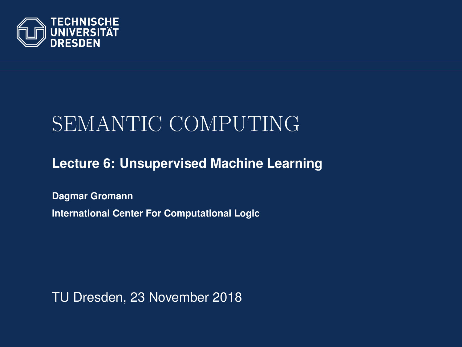<span id="page-0-0"></span>

# SEMANTIC COMPUTING

#### **[Lecture 6: Unsupervised Machine Learning](https://iccl.inf.tu-dresden.de/web/Semantic_Computing_(SS2018))**

**[Dagmar Gromann](https://iccl.inf.tu-dresden.de/web/Dagmar_Gromann) International Center For Computational Logic**

TU Dresden, 23 November 2018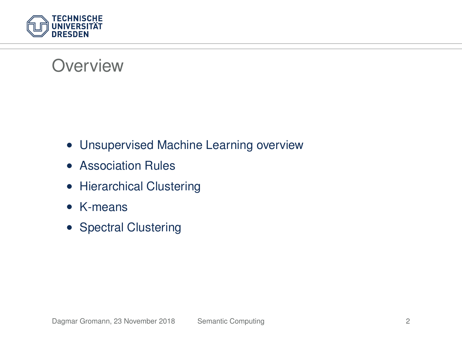

#### **Overview**

- Unsupervised Machine Learning overview
- Association Rules
- Hierarchical Clustering
- K-means
- Spectral Clustering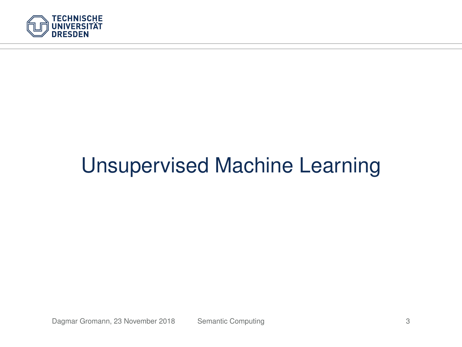

# Unsupervised Machine Learning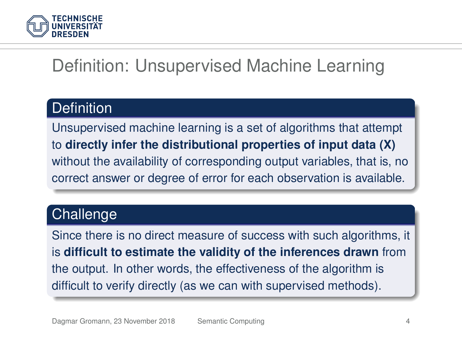

## Definition: Unsupervised Machine Learning

#### **Definition**

Unsupervised machine learning is a set of algorithms that attempt to **directly infer the distributional properties of input data (X)** without the availability of corresponding output variables, that is, no correct answer or degree of error for each observation is available.

#### **Challenge**

Since there is no direct measure of success with such algorithms, it is **difficult to estimate the validity of the inferences drawn** from the output. In other words, the effectiveness of the algorithm is difficult to verify directly (as we can with supervised methods).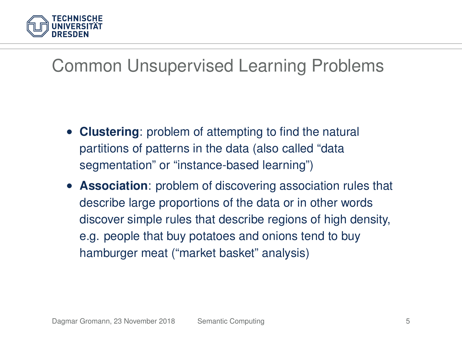

## Common Unsupervised Learning Problems

- **Clustering:** problem of attempting to find the natural partitions of patterns in the data (also called "data segmentation" or "instance-based learning")
- **Association**: problem of discovering association rules that describe large proportions of the data or in other words discover simple rules that describe regions of high density, e.g. people that buy potatoes and onions tend to buy hamburger meat ("market basket" analysis)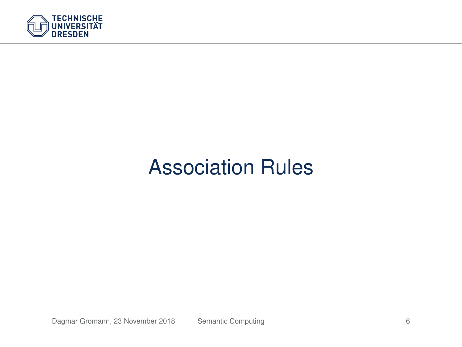

# Association Rules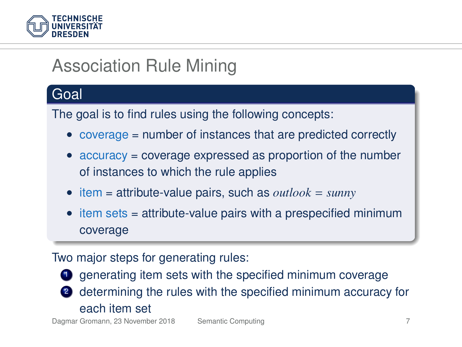

# Association Rule Mining

#### Goal

The goal is to find rules using the following concepts:

- coverage = number of instances that are predicted correctly
- accuracy = coverage expressed as proportion of the number of instances to which the rule applies
- item = attribute-value pairs, such as *outlook* = *sunny*
- item sets = attribute-value pairs with a prespecified minimum coverage

#### Two major steps for generating rules:

**1** generating item sets with the specified minimum coverage

2 determining the rules with the specified minimum accuracy for each item set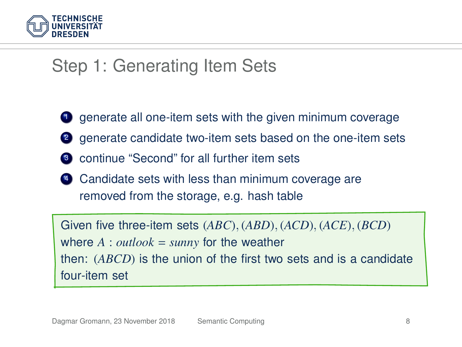

### Step 1: Generating Item Sets

- <sup>1</sup> generate all one-item sets with the given minimum coverage
- <sup>2</sup> denerate candidate two-item sets based on the one-item sets
- <sup>3</sup> continue "Second" for all further item sets
- <sup>4</sup> Candidate sets with less than minimum coverage are removed from the storage, e.g. hash table

Given five three-item sets (*ABC*), (*ABD*), (*ACD*), (*ACE*), (*BCD*) where  $A: outlook = sunny$  for the weather then: (*ABCD*) is the union of the first two sets and is a candidate four-item set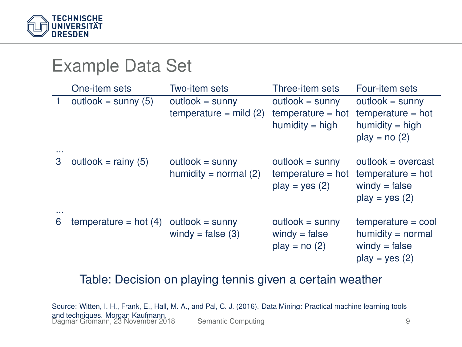

Example Data Set

| EXAIIIDIE DAIA OEI |                         |                                              |                                                               |                                                                                    |  |  |  |  |
|--------------------|-------------------------|----------------------------------------------|---------------------------------------------------------------|------------------------------------------------------------------------------------|--|--|--|--|
|                    | One-item sets           | Two-item sets                                | Three-item sets                                               | Four-item sets                                                                     |  |  |  |  |
|                    | outlook = sunny $(5)$   | $outlook = sunny$<br>temperature = $mild(2)$ | $outlook = sunny$<br>$temperature = hot$<br>$humidity = high$ | $outlook = sunny$<br>$temperature = hot$<br>$humidity = high$<br>$play = no(2)$    |  |  |  |  |
| <br>3              | outlook = $rainy(5)$    | $outlook = sunny$<br>humidity = normal $(2)$ | $outlook = sunny$<br>$temperature = hot$<br>$play = yes (2)$  | $outlook = overcast$<br>$temperature = hot$<br>$windv = false$<br>$play = yes (2)$ |  |  |  |  |
| <br>6              | temperature = hot $(4)$ | $outlook = sunny$<br>windy = $false(3)$      | $outlook = sunny$<br>$windy = false$<br>$play = no(2)$        | $temperature = cool$<br>$humidity = normal$<br>$windy = false$<br>$play = yes (2)$ |  |  |  |  |

#### Table: Decision on playing tennis given a certain weather

Source: Witten, I. H., Frank, E., Hall, M. A., and Pal, C. J. (2016). Data Mining: Practical machine learning tools and techniques. Morgan Kaufmann. Dagmar Gromann, 23 November 2018 [Semantic Computing](#page-0-0) 9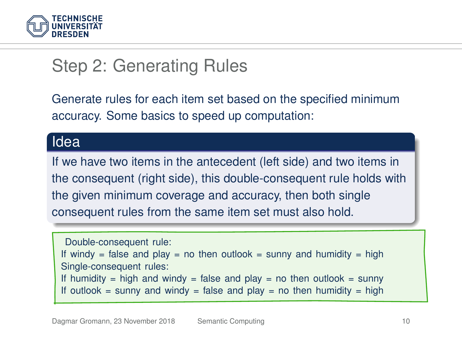

## Step 2: Generating Rules

Generate rules for each item set based on the specified minimum accuracy. Some basics to speed up computation:

#### Idea

If we have two items in the antecedent (left side) and two items in the consequent (right side), this double-consequent rule holds with the given minimum coverage and accuracy, then both single consequent rules from the same item set must also hold.

Double-consequent rule: If windy = false and play = no then outlook = sunny and humidity = high Single-consequent rules: If humidity = high and windy = false and play = no then outlook = sunny If outlook = sunny and windy = false and play = no then humidity = high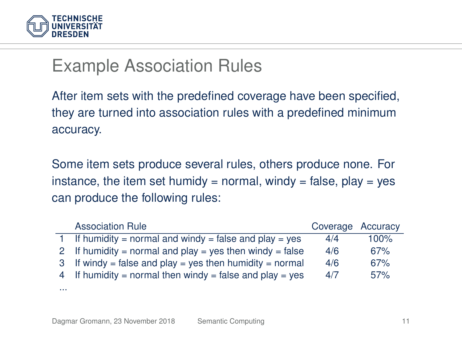

#### Example Association Rules

After item sets with the predefined coverage have been specified, they are turned into association rules with a predefined minimum accuracy.

Some item sets produce several rules, others produce none. For instance, the item set humidy = normal, windy = false, play = yes can produce the following rules:

| <b>Association Rule</b>                                  | Coverage Accuracy |      |
|----------------------------------------------------------|-------------------|------|
| 1 If humidity = normal and windy = false and play = yes  | 4/4               | 100% |
| 2 If humidity = normal and play = yes then windy = false | 4/6               | 67%  |
| 3 If windy = false and play = yes then humidity = normal | 4/6               | 67%  |
| 4 If humidity = normal then windy = false and play = yes | 4/7               | 57%  |
|                                                          |                   |      |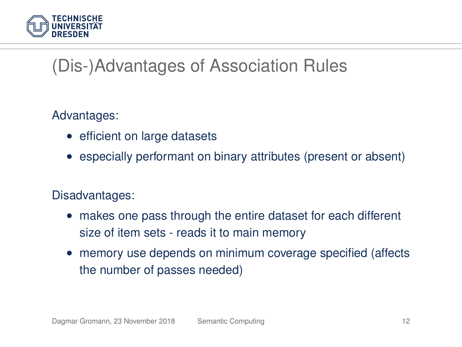

# (Dis-)Advantages of Association Rules

Advantages:

- efficient on large datasets
- especially performant on binary attributes (present or absent)

#### Disadvantages:

- makes one pass through the entire dataset for each different size of item sets - reads it to main memory
- memory use depends on minimum coverage specified (affects the number of passes needed)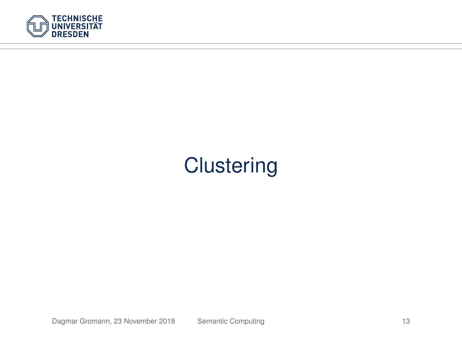

# **Clustering**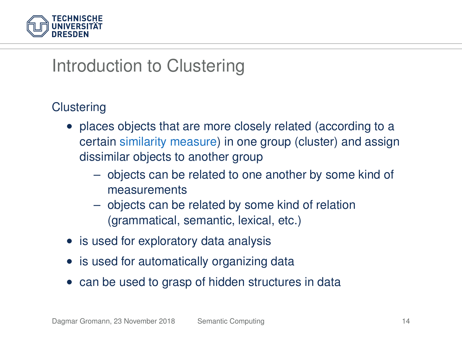

### Introduction to Clustering

#### **Clustering**

- places objects that are more closely related (according to a certain similarity measure) in one group (cluster) and assign dissimilar objects to another group
	- objects can be related to one another by some kind of measurements
	- objects can be related by some kind of relation (grammatical, semantic, lexical, etc.)
- is used for exploratory data analysis
- is used for automatically organizing data
- can be used to grasp of hidden structures in data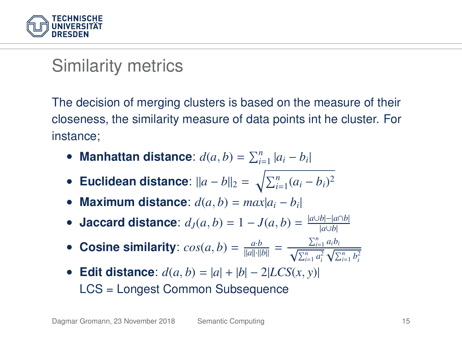

### Similarity metrics

The decision of merging clusters is based on the measure of their closeness, the similarity measure of data points int he cluster. For instance;

- Manhattan distance:  $d(a, b) = \sum_{i=1}^{n} |a_i b_i|$
- Euclidean distance:  $||a b||_2 = \sqrt{\sum_{i=1}^n (a_i b_i)^2}$
- **Maximum distance**:  $d(a, b) = max|a_i b_i|$
- **Jaccard distance**:  $d_J(a, b) = 1 J(a, b) = \frac{|a \cup b| |a \cap b|}{|a \cup b|}$
- Cosine similarity:  $cos(a, b) = \frac{a \cdot b}{\|a\| \cdot \|b\|} = \frac{\sum_{i=1}^{n} a_i b_i}{\sqrt{\sum_{i=1}^{n} a_i^2} \sqrt{\sum_{i=1}^{n} b_i^2}}$
- **Edit distance**: *d*(*a*, *b*) = |*a*| + |*b*| − 2|*LCS*(*x*, *y*)| LCS = Longest Common Subsequence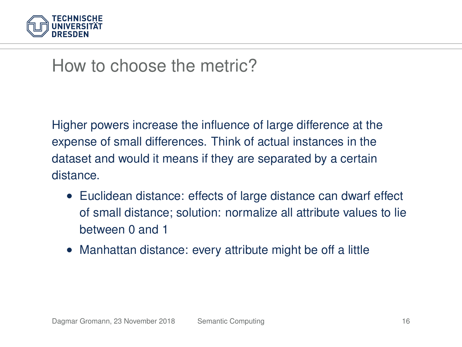

#### How to choose the metric?

Higher powers increase the influence of large difference at the expense of small differences. Think of actual instances in the dataset and would it means if they are separated by a certain distance.

- Euclidean distance: effects of large distance can dwarf effect of small distance; solution: normalize all attribute values to lie between 0 and 1
- Manhattan distance: every attribute might be off a little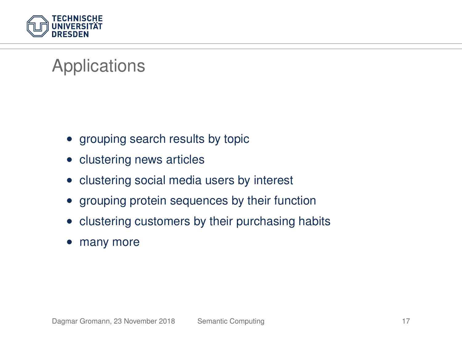

# Applications

- grouping search results by topic
- clustering news articles
- clustering social media users by interest
- grouping protein sequences by their function
- clustering customers by their purchasing habits
- many more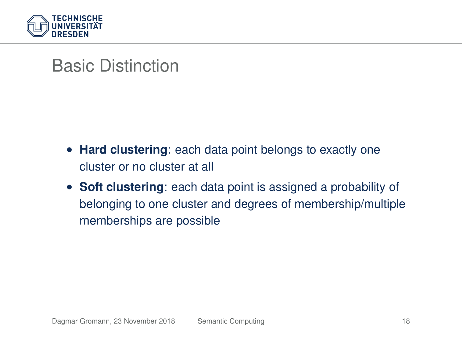

#### Basic Distinction

- **Hard clustering**: each data point belongs to exactly one cluster or no cluster at all
- **Soft clustering**: each data point is assigned a probability of belonging to one cluster and degrees of membership/multiple memberships are possible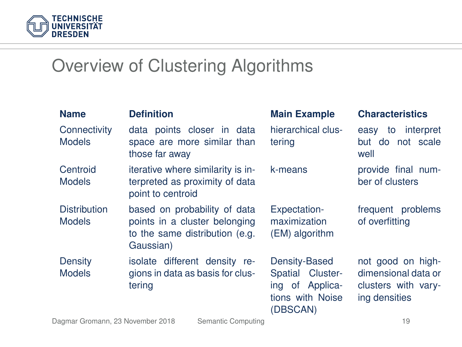

#### Overview of Clustering Algorithms

| <b>Name</b>                          | <b>Definition</b>                                                                                            | <b>Main Example</b>                                                                  | <b>Characteristics</b>                                                           |
|--------------------------------------|--------------------------------------------------------------------------------------------------------------|--------------------------------------------------------------------------------------|----------------------------------------------------------------------------------|
| Connectivity<br><b>Models</b>        | data points closer in data<br>space are more similar than<br>those far away                                  | hierarchical clus-<br>tering                                                         | easy to interpret<br>but do not scale<br>well                                    |
| Centroid<br><b>Models</b>            | iterative where similarity is in-<br>terpreted as proximity of data<br>point to centroid                     | k-means                                                                              | provide final num-<br>ber of clusters                                            |
| <b>Distribution</b><br><b>Models</b> | based on probability of data<br>points in a cluster belonging<br>to the same distribution (e.g.<br>Gaussian) | Expectation-<br>maximization<br>(EM) algorithm                                       | frequent problems<br>of overfitting                                              |
| Density<br><b>Models</b>             | isolate different density re-<br>gions in data as basis for clus-<br>tering                                  | Density-Based<br>Spatial Cluster-<br>ing of Applica-<br>tions with Noise<br>(DBSCAN) | not good on high-<br>dimensional data or<br>clusters with vary-<br>ing densities |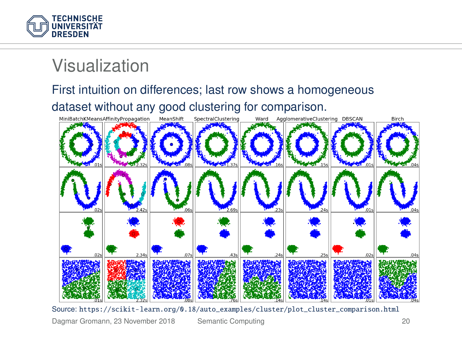

#### Visualization

#### First intuition on differences; last row shows a homogeneous

dataset without any good clustering for comparison.



Source: [https://scikit-learn.org/0.18/auto\\_examples/cluster/plot\\_cluster\\_comparison.html](https://scikit-learn.org/0.18/auto_examples/cluster/plot_cluster_comparison.html)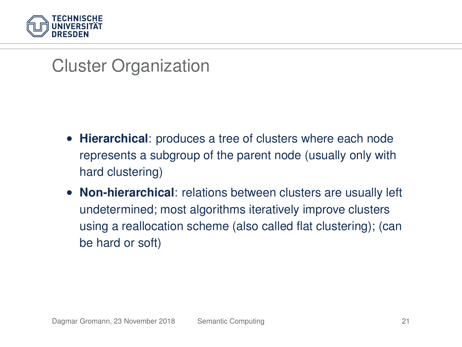

#### Cluster Organization

- **Hierarchical**: produces a tree of clusters where each node represents a subgroup of the parent node (usually only with hard clustering)
- **Non-hierarchical**: relations between clusters are usually left undetermined; most algorithms iteratively improve clusters using a reallocation scheme (also called flat clustering); (can be hard or soft)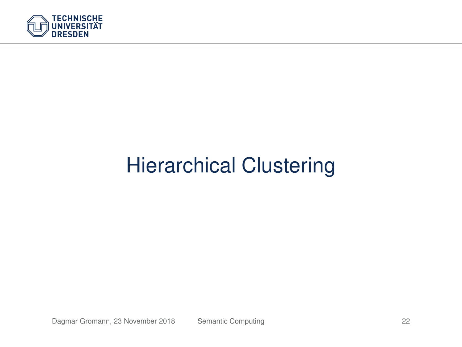

# Hierarchical Clustering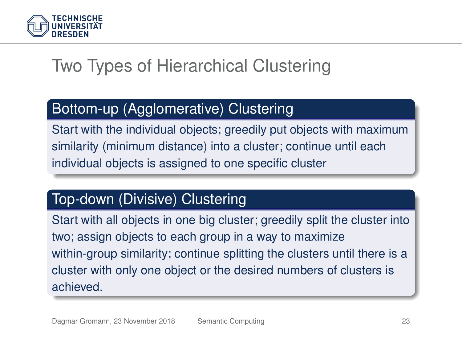

## Two Types of Hierarchical Clustering

#### Bottom-up (Agglomerative) Clustering

Start with the individual objects; greedily put objects with maximum similarity (minimum distance) into a cluster; continue until each individual objects is assigned to one specific cluster

#### Top-down (Divisive) Clustering

Start with all objects in one big cluster; greedily split the cluster into two; assign objects to each group in a way to maximize within-group similarity; continue splitting the clusters until there is a cluster with only one object or the desired numbers of clusters is achieved.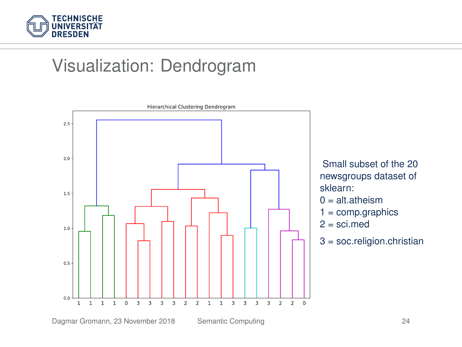

## Visualization: Dendrogram

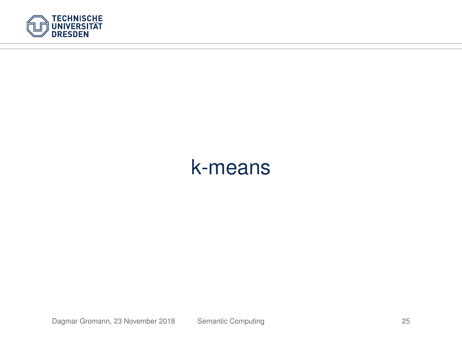

# k-means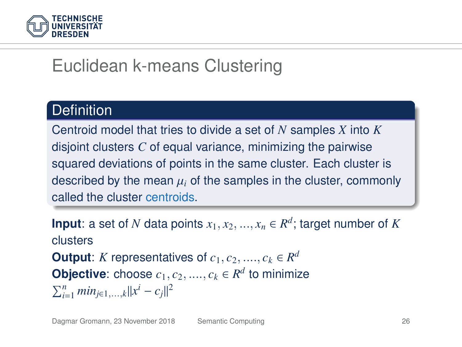

# Euclidean k-means Clustering

#### **Definition**

Centroid model that tries to divide a set of *N* samples *X* into *K* disjoint clusters *C* of equal variance, minimizing the pairwise squared deviations of points in the same cluster. Each cluster is described by the mean  $\mu_i$  of the samples in the cluster, commonly called the cluster centroids.

**Input**: a set of *N* data points  $x_1, x_2, ..., x_n \in R^d$ ; target number of *K* clusters **Output**: *K* representatives of  $c_1, c_2, ..., c_k \in R^d$ **Objective**: choose  $c_1, c_2, ..., c_k \in \mathbb{R}^d$  to minimize  $\sum_{i=1}^{n} min_{j \in 1, ..., k} ||x^{i} - c_{j}||^{2}$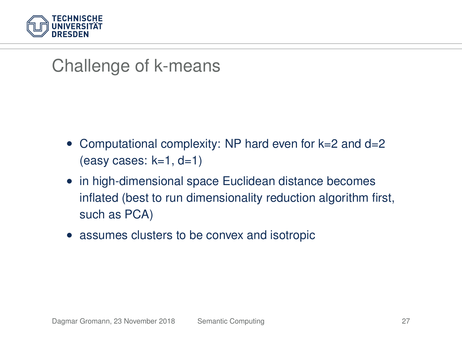

### Challenge of k-means

- Computational complexity: NP hard even for k=2 and d=2  $(exes: k=1, d=1)$
- in high-dimensional space Euclidean distance becomes inflated (best to run dimensionality reduction algorithm first, such as PCA)
- assumes clusters to be convex and isotropic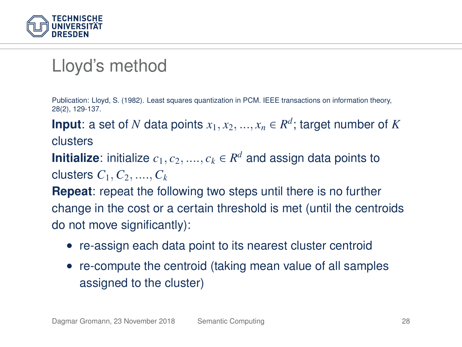

### Lloyd's method

Publication: Lloyd, S. (1982). Least squares quantization in PCM. IEEE transactions on information theory, 28(2), 129-137.

**Input**: a set of *N* data points  $x_1, x_2, ..., x_n \in R^d$ ; target number of *K* clusters

**Initialize**: initialize  $c_1, c_2, ...., c_k \in \mathbb{R}^d$  and assign data points to clusters  $C_1, C_2, \ldots, C_k$ 

**Repeat**: repeat the following two steps until there is no further change in the cost or a certain threshold is met (until the centroids do not move significantly):

- re-assign each data point to its nearest cluster centroid
- re-compute the centroid (taking mean value of all samples assigned to the cluster)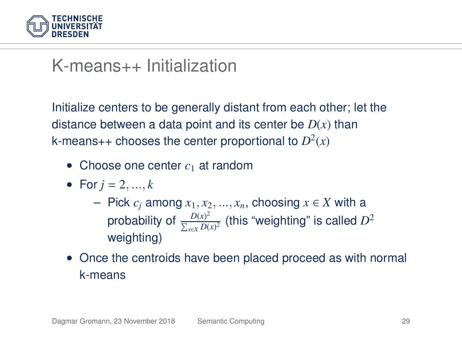

#### K-means++ Initialization

Initialize centers to be generally distant from each other; let the distance between a data point and its center be *D*(*x*) than k-means++ chooses the center proportional to  $D^2(x)$ 

- Choose one center  $c_1$  at random
- For  $i = 2, ..., k$ 
	- Pick *c<sup>j</sup>* among *x*1, *x*2, ..., *xn*, choosing *x* ∈ *X* with a probability of  $\frac{D(x)^2}{\sum D(x)}$  $\frac{D(x)^2}{\sum_{x \in X} D(x)^2}$  (this "weighting" is called  $D^2$ weighting)
- Once the centroids have been placed proceed as with normal k-means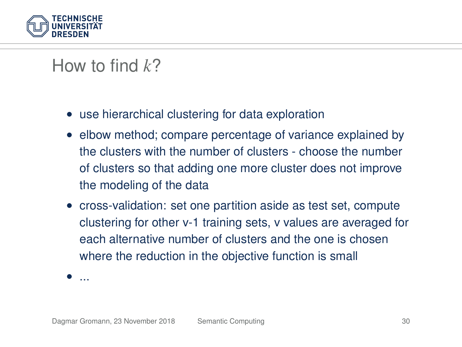

## How to find *k*?

- use hierarchical clustering for data exploration
- elbow method; compare percentage of variance explained by the clusters with the number of clusters - choose the number of clusters so that adding one more cluster does not improve the modeling of the data
- cross-validation: set one partition aside as test set, compute clustering for other v-1 training sets, v values are averaged for each alternative number of clusters and the one is chosen where the reduction in the objective function is small

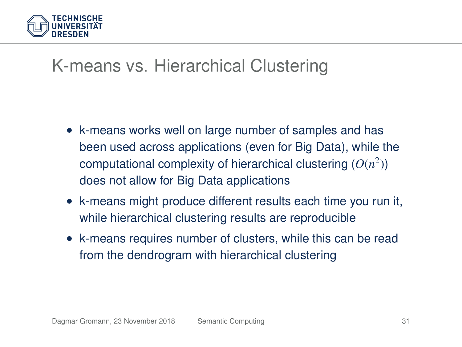

## K-means vs. Hierarchical Clustering

- k-means works well on large number of samples and has been used across applications (even for Big Data), while the computational complexity of hierarchical clustering  $(O(n^2))$ does not allow for Big Data applications
- k-means might produce different results each time you run it, while hierarchical clustering results are reproducible
- k-means requires number of clusters, while this can be read from the dendrogram with hierarchical clustering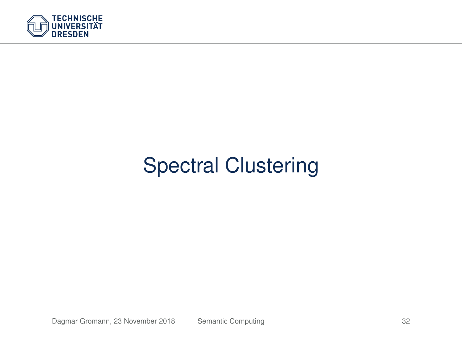

# Spectral Clustering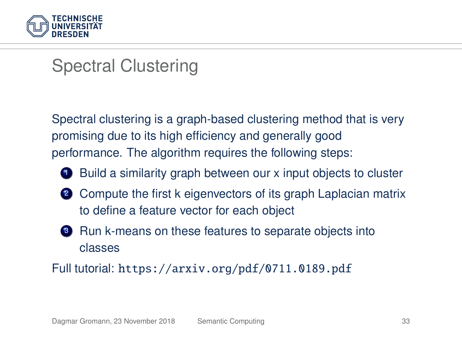

#### Spectral Clustering

Spectral clustering is a graph-based clustering method that is very promising due to its high efficiency and generally good performance. The algorithm requires the following steps:



**1** Build a similarity graph between our x input objects to cluster

- 2 Compute the first k eigenvectors of its graph Laplacian matrix to define a feature vector for each object
- <sup>3</sup> Run k-means on these features to separate objects into classes

Full tutorial: <https://arxiv.org/pdf/0711.0189.pdf>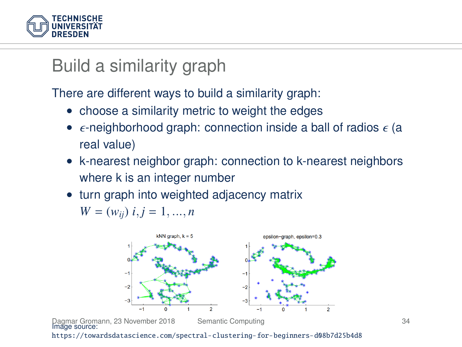

#### Build a similarity graph

There are different ways to build a similarity graph:

- choose a similarity metric to weight the edges
- $\epsilon$ -neighborhood graph: connection inside a ball of radios  $\epsilon$  (a real value)
- k-nearest neighbor graph: connection to k-nearest neighbors where k is an integer number
- turn graph into weighted adjacency matrix

 $W = (w_{ii})$   $i, j = 1, ..., n$ 

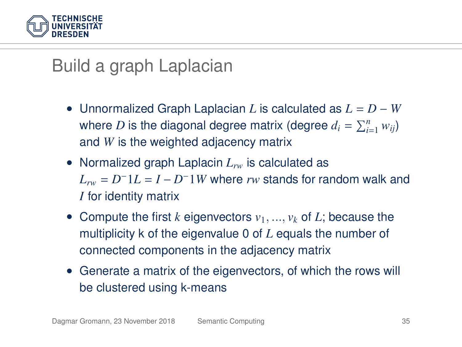

#### Build a graph Laplacian

- Unnormalized Graph Laplacian *L* is calculated as *L* = *D* − *W* where  $D$  is the diagonal degree matrix (degree  $d_i = \sum_{i=1}^n w_{ij}$ ) and *W* is the weighted adjacency matrix
- Normalized graph Laplacin  $L_{rw}$  is calculated as  $L_{rw} = D^{-1}L = I - D^{-1}W$  where  $rw$  stands for random walk and *I* for identity matrix
- Compute the first *k* eigenvectors  $v_1, ..., v_k$  of *L*; because the multiplicity k of the eigenvalue 0 of *L* equals the number of connected components in the adjacency matrix
- Generate a matrix of the eigenvectors, of which the rows will be clustered using k-means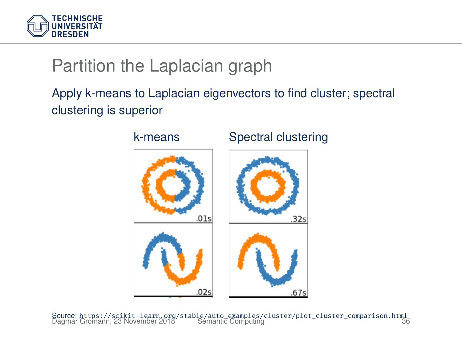

## Partition the Laplacian graph

#### Apply k-means to Laplacian eigenvectors to find cluster; spectral clustering is superior



Source: [https://scikit-learn.org/stable/auto\\_examples/cluster/plot\\_cluster\\_comparison.html](https://scikit-learn.org/stable/auto_examples/cluster/plot_cluster_comparison.html) Dagmar Gromann, 23 November 2018 [Semantic Computing](#page-0-0) 36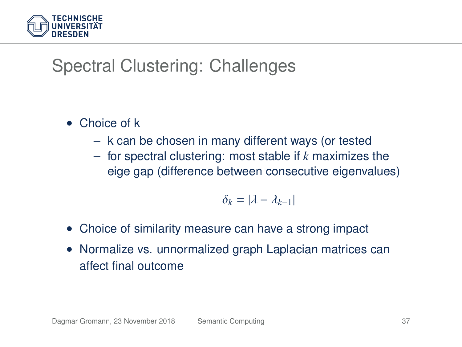

## Spectral Clustering: Challenges

- Choice of k
	- k can be chosen in many different ways (or tested
	- for spectral clustering: most stable if *k* maximizes the eige gap (difference between consecutive eigenvalues)

$$
\delta_k = |\lambda - \lambda_{k-1}|
$$

- Choice of similarity measure can have a strong impact
- Normalize vs. unnormalized graph Laplacian matrices can affect final outcome